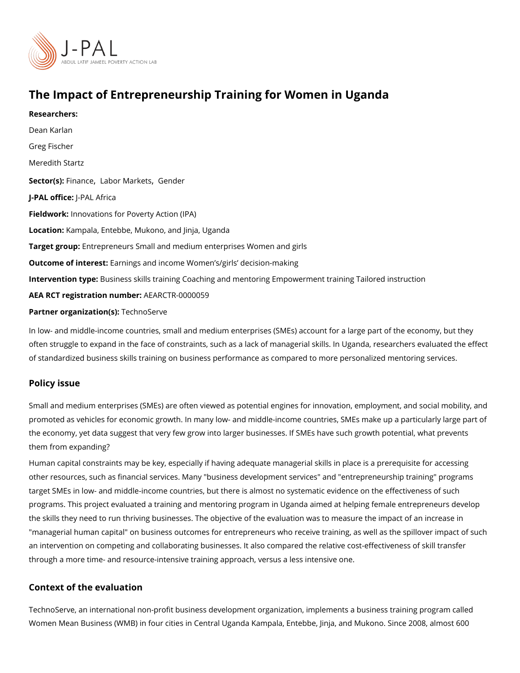# The Impact of Entrepreneurship Training for Women in Ugan Researchers: [Dean Ka](https://www.povertyactionlab.org/person/karlan)rlan [Greg Fis](https://www.povertyactionlab.org/person/fischer)cher Meredith Startz Sector(Fsi)n an[,](https://www.povertyactionlab.org/sector/labor-markets) cleabor Mar, k@esnder J-PAL oftlicPeAL Africa Fieldworkhovations for Poverty Action (IPA) LocatioKampala, Entebbe, Mukono, and Jinja, Uganda Target groEptrepreneurs Small and medium enterprises Women and girls Outcome of inte Eastings and income Women s/girls decision-making Intervention t<sub>rep</sub> interstigation is training Coaching and mentoring Empowerment training Tailored instruction AEA RCT registration ArEuAnRbCeTR-0000059

Partner organizatTechs) o Serve

In low- and middle-income countries, small and medium enterprises (SMEs) account for a often struggle to expand in the face of constraints, such as a lack of managerial skills. In of standardized business skills training on business performance as compared to more pe

### Policy issue

Small and medium enterprises (SMEs) are often viewed as potential engines for innovatio promoted as vehicles for economic growth. In many low- and middle-income countries, SM the economy, yet data suggest that very few grow into larger businesses. If SMEs have su them from expanding?

Human capital constraints may be key, especially if having adequate managerial skills in other resources, such as financial services. Many "business development services" and "e target SMEs in low- and middle-income countries, but there is almost no systematic evide programs. This project evaluated a training and mentoring program in Uganda aimed at he the skills they need to run thriving businesses. The objective of the evaluation was to me "managerial human capital" on business outcomes for entrepreneurs who receive training, an intervention on competing and collaborating businesses. It also compared the relative through a more time- and resource-intensive training approach, versus a less intensive or

# Context of the evaluation

TechnoServe, an international non-profit business development organization, implements Women Mean Business (WMB) in four cities in Central Uganda Kampala, Entebbe, Jinja, an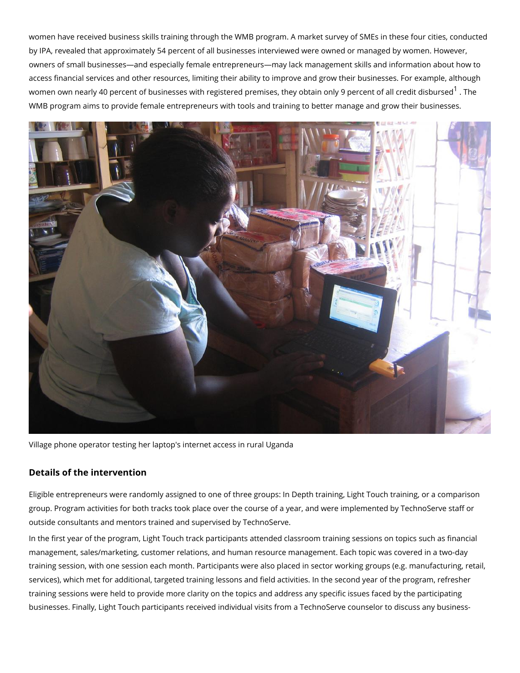women have received business skills training through the WMB program. A market survey by IPA, revealed that approximately 54 percent of all businesses interviewed were owned owners of small businesses and especially female entrepreneurs may lack management sk access financial services and other resources, limiting their ability to improve and grow t women own nearly 40 percent of businesses with registered premises, they obtainThomely 9 percent of all credit district district district dispute [1](#page-2-0) . The metal of  $\theta$ WMB program aims to provide female entrepreneurs with tools and training to better mana

#### Village phone operator testing her laptop's internet access in rural Uganda

# Details of the intervention

Eligible entrepreneurs were randomly assigned to one of three groups: In Depth training, group. Program activities for both tracks took place over the course of a year, and were i outside consultants and mentors trained and supervised by TechnoServe.

In the first year of the program, Light Touch track participants attended classroom training management, sales/marketing, customer relations, and human resource management. Each training session, with one session each month. Participants were also placed in sector wo services), which met for additional, targeted training lessons and field activities. In the s training sessions were held to provide more clarity on the topics and address any specific businesses. Finally, Light Touch participants received individual visits from a TechnoServ